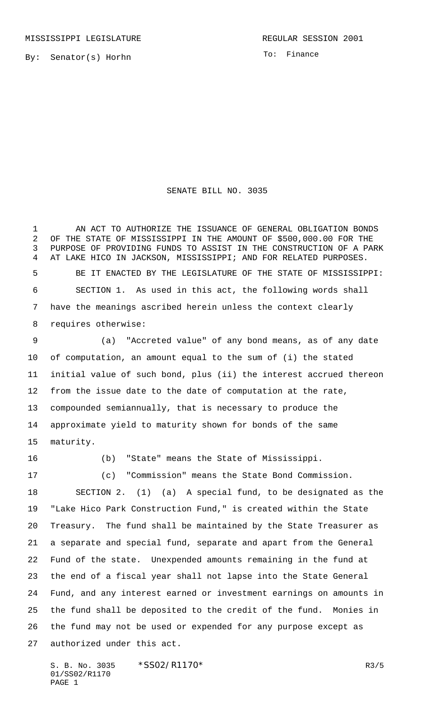By: Senator(s) Horhn

To: Finance

## SENATE BILL NO. 3035

 AN ACT TO AUTHORIZE THE ISSUANCE OF GENERAL OBLIGATION BONDS OF THE STATE OF MISSISSIPPI IN THE AMOUNT OF \$500,000.00 FOR THE PURPOSE OF PROVIDING FUNDS TO ASSIST IN THE CONSTRUCTION OF A PARK AT LAKE HICO IN JACKSON, MISSISSIPPI; AND FOR RELATED PURPOSES. BE IT ENACTED BY THE LEGISLATURE OF THE STATE OF MISSISSIPPI: SECTION 1. As used in this act, the following words shall have the meanings ascribed herein unless the context clearly requires otherwise:

 (a) "Accreted value" of any bond means, as of any date of computation, an amount equal to the sum of (i) the stated initial value of such bond, plus (ii) the interest accrued thereon from the issue date to the date of computation at the rate, compounded semiannually, that is necessary to produce the approximate yield to maturity shown for bonds of the same maturity.

(b) "State" means the State of Mississippi.

 (c) "Commission" means the State Bond Commission. SECTION 2. (1) (a) A special fund, to be designated as the "Lake Hico Park Construction Fund," is created within the State Treasury. The fund shall be maintained by the State Treasurer as a separate and special fund, separate and apart from the General Fund of the state. Unexpended amounts remaining in the fund at the end of a fiscal year shall not lapse into the State General Fund, and any interest earned or investment earnings on amounts in the fund shall be deposited to the credit of the fund. Monies in the fund may not be used or expended for any purpose except as authorized under this act.

S. B. No. 3035 \* SSO2/R1170\* R3/5 01/SS02/R1170 PAGE 1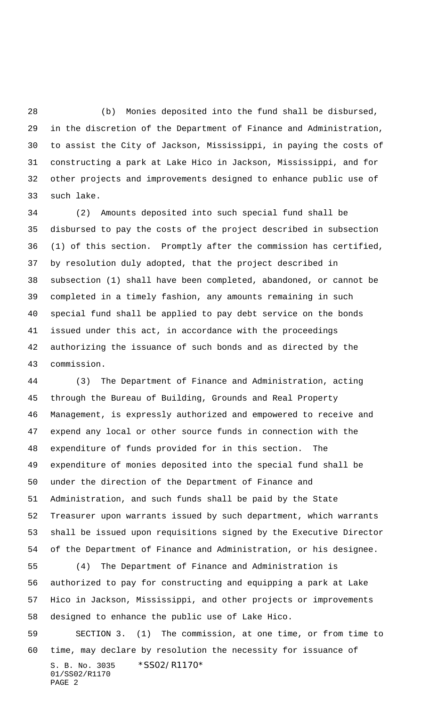(b) Monies deposited into the fund shall be disbursed, in the discretion of the Department of Finance and Administration, to assist the City of Jackson, Mississippi, in paying the costs of constructing a park at Lake Hico in Jackson, Mississippi, and for other projects and improvements designed to enhance public use of such lake.

 (2) Amounts deposited into such special fund shall be disbursed to pay the costs of the project described in subsection (1) of this section. Promptly after the commission has certified, by resolution duly adopted, that the project described in subsection (1) shall have been completed, abandoned, or cannot be completed in a timely fashion, any amounts remaining in such special fund shall be applied to pay debt service on the bonds issued under this act, in accordance with the proceedings authorizing the issuance of such bonds and as directed by the commission.

 (3) The Department of Finance and Administration, acting through the Bureau of Building, Grounds and Real Property Management, is expressly authorized and empowered to receive and expend any local or other source funds in connection with the expenditure of funds provided for in this section. The expenditure of monies deposited into the special fund shall be under the direction of the Department of Finance and Administration, and such funds shall be paid by the State Treasurer upon warrants issued by such department, which warrants shall be issued upon requisitions signed by the Executive Director of the Department of Finance and Administration, or his designee. (4) The Department of Finance and Administration is authorized to pay for constructing and equipping a park at Lake Hico in Jackson, Mississippi, and other projects or improvements designed to enhance the public use of Lake Hico. SECTION 3. (1) The commission, at one time, or from time to

S. B. No. 3035 \*SS02/R1170\* 01/SS02/R1170 PAGE 2 time, may declare by resolution the necessity for issuance of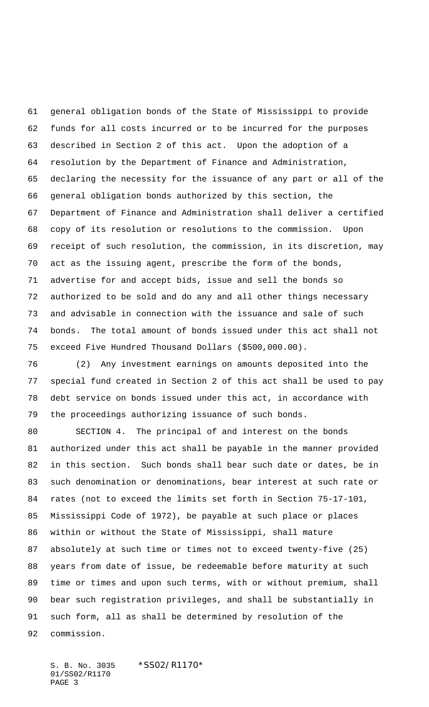general obligation bonds of the State of Mississippi to provide funds for all costs incurred or to be incurred for the purposes described in Section 2 of this act. Upon the adoption of a resolution by the Department of Finance and Administration, declaring the necessity for the issuance of any part or all of the general obligation bonds authorized by this section, the Department of Finance and Administration shall deliver a certified copy of its resolution or resolutions to the commission. Upon receipt of such resolution, the commission, in its discretion, may act as the issuing agent, prescribe the form of the bonds, advertise for and accept bids, issue and sell the bonds so authorized to be sold and do any and all other things necessary and advisable in connection with the issuance and sale of such bonds. The total amount of bonds issued under this act shall not exceed Five Hundred Thousand Dollars (\$500,000.00).

 (2) Any investment earnings on amounts deposited into the special fund created in Section 2 of this act shall be used to pay debt service on bonds issued under this act, in accordance with the proceedings authorizing issuance of such bonds.

 SECTION 4. The principal of and interest on the bonds authorized under this act shall be payable in the manner provided in this section. Such bonds shall bear such date or dates, be in such denomination or denominations, bear interest at such rate or rates (not to exceed the limits set forth in Section 75-17-101, Mississippi Code of 1972), be payable at such place or places within or without the State of Mississippi, shall mature absolutely at such time or times not to exceed twenty-five (25) years from date of issue, be redeemable before maturity at such time or times and upon such terms, with or without premium, shall bear such registration privileges, and shall be substantially in such form, all as shall be determined by resolution of the commission.

S. B. No. 3035 \*SS02/R1170\* 01/SS02/R1170 PAGE 3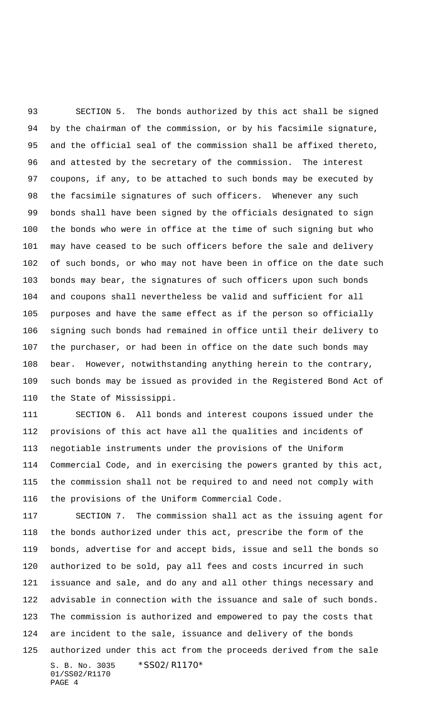SECTION 5. The bonds authorized by this act shall be signed by the chairman of the commission, or by his facsimile signature, and the official seal of the commission shall be affixed thereto, and attested by the secretary of the commission. The interest coupons, if any, to be attached to such bonds may be executed by the facsimile signatures of such officers. Whenever any such bonds shall have been signed by the officials designated to sign the bonds who were in office at the time of such signing but who may have ceased to be such officers before the sale and delivery of such bonds, or who may not have been in office on the date such bonds may bear, the signatures of such officers upon such bonds and coupons shall nevertheless be valid and sufficient for all purposes and have the same effect as if the person so officially signing such bonds had remained in office until their delivery to the purchaser, or had been in office on the date such bonds may bear. However, notwithstanding anything herein to the contrary, such bonds may be issued as provided in the Registered Bond Act of the State of Mississippi.

 SECTION 6. All bonds and interest coupons issued under the provisions of this act have all the qualities and incidents of negotiable instruments under the provisions of the Uniform Commercial Code, and in exercising the powers granted by this act, the commission shall not be required to and need not comply with the provisions of the Uniform Commercial Code.

S. B. No. 3035 \*SS02/R1170\* 01/SS02/R1170 PAGE 4 SECTION 7. The commission shall act as the issuing agent for the bonds authorized under this act, prescribe the form of the bonds, advertise for and accept bids, issue and sell the bonds so authorized to be sold, pay all fees and costs incurred in such issuance and sale, and do any and all other things necessary and advisable in connection with the issuance and sale of such bonds. The commission is authorized and empowered to pay the costs that are incident to the sale, issuance and delivery of the bonds authorized under this act from the proceeds derived from the sale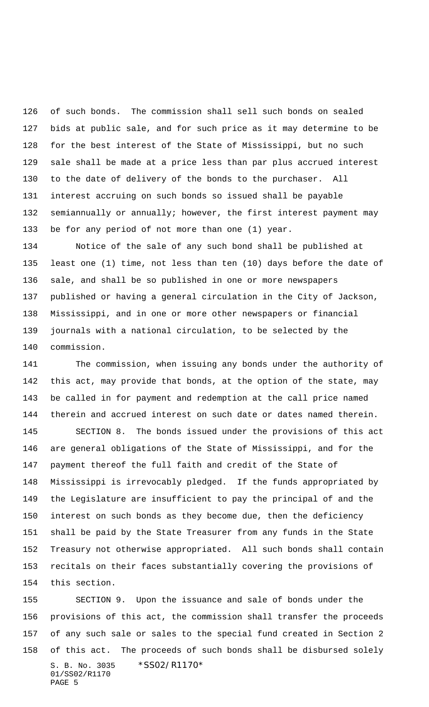of such bonds. The commission shall sell such bonds on sealed bids at public sale, and for such price as it may determine to be for the best interest of the State of Mississippi, but no such sale shall be made at a price less than par plus accrued interest to the date of delivery of the bonds to the purchaser. All interest accruing on such bonds so issued shall be payable semiannually or annually; however, the first interest payment may be for any period of not more than one (1) year.

 Notice of the sale of any such bond shall be published at least one (1) time, not less than ten (10) days before the date of sale, and shall be so published in one or more newspapers published or having a general circulation in the City of Jackson, Mississippi, and in one or more other newspapers or financial journals with a national circulation, to be selected by the commission.

 The commission, when issuing any bonds under the authority of this act, may provide that bonds, at the option of the state, may be called in for payment and redemption at the call price named therein and accrued interest on such date or dates named therein. SECTION 8. The bonds issued under the provisions of this act are general obligations of the State of Mississippi, and for the

 payment thereof the full faith and credit of the State of Mississippi is irrevocably pledged. If the funds appropriated by the Legislature are insufficient to pay the principal of and the interest on such bonds as they become due, then the deficiency shall be paid by the State Treasurer from any funds in the State Treasury not otherwise appropriated. All such bonds shall contain recitals on their faces substantially covering the provisions of this section.

S. B. No. 3035 \*SS02/R1170\* 01/SS02/R1170 PAGE 5 SECTION 9. Upon the issuance and sale of bonds under the provisions of this act, the commission shall transfer the proceeds of any such sale or sales to the special fund created in Section 2 of this act. The proceeds of such bonds shall be disbursed solely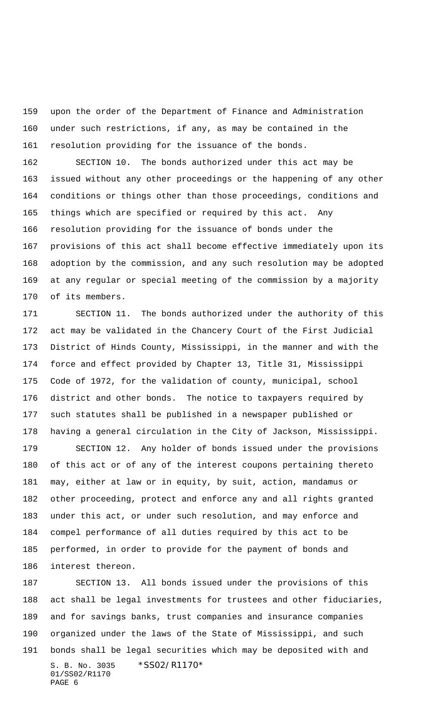upon the order of the Department of Finance and Administration under such restrictions, if any, as may be contained in the resolution providing for the issuance of the bonds.

 SECTION 10. The bonds authorized under this act may be issued without any other proceedings or the happening of any other conditions or things other than those proceedings, conditions and things which are specified or required by this act. Any resolution providing for the issuance of bonds under the provisions of this act shall become effective immediately upon its adoption by the commission, and any such resolution may be adopted at any regular or special meeting of the commission by a majority of its members.

 SECTION 11. The bonds authorized under the authority of this act may be validated in the Chancery Court of the First Judicial District of Hinds County, Mississippi, in the manner and with the force and effect provided by Chapter 13, Title 31, Mississippi Code of 1972, for the validation of county, municipal, school district and other bonds. The notice to taxpayers required by such statutes shall be published in a newspaper published or having a general circulation in the City of Jackson, Mississippi.

 SECTION 12. Any holder of bonds issued under the provisions of this act or of any of the interest coupons pertaining thereto may, either at law or in equity, by suit, action, mandamus or other proceeding, protect and enforce any and all rights granted under this act, or under such resolution, and may enforce and compel performance of all duties required by this act to be performed, in order to provide for the payment of bonds and interest thereon.

S. B. No. 3035 \*SS02/R1170\* 01/SS02/R1170 PAGE 6 SECTION 13. All bonds issued under the provisions of this act shall be legal investments for trustees and other fiduciaries, and for savings banks, trust companies and insurance companies organized under the laws of the State of Mississippi, and such bonds shall be legal securities which may be deposited with and